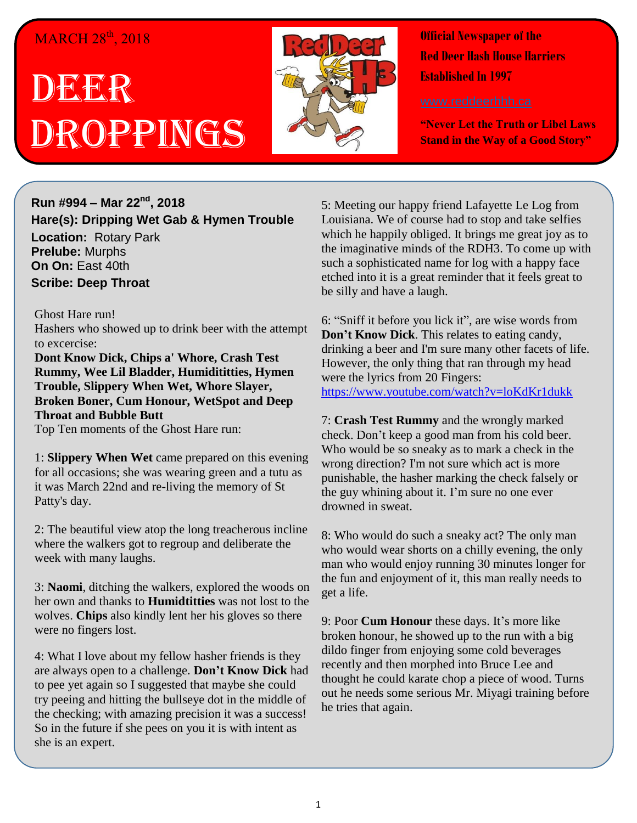## MARCH 28<sup>th</sup>, 2018

## **DECE**R Droppings



**Official Newspaper of the Red Deer Hash House Harriers Established In 1997** 

**"Never Let the Truth or Libel Laws Stand in the Way of a Good Story"**

**Run #994 – Mar 22nd, 2018 Hare(s): Dripping Wet Gab & Hymen Trouble Location:** Rotary Park **Prelube:** Murphs **On On:** East 40th **Scribe: Deep Throat**

Ghost Hare run!

Hashers who showed up to drink beer with the attempt to excercise:

**Dont Know Dick, Chips a' Whore, Crash Test Rummy, Wee Lil Bladder, Humidititties, Hymen Trouble, Slippery When Wet, Whore Slayer, Broken Boner, Cum Honour, WetSpot and Deep Throat and Bubble Butt**

Top Ten moments of the Ghost Hare run:

1: **Slippery When Wet** came prepared on this evening for all occasions; she was wearing green and a tutu as it was March 22nd and re-living the memory of St Patty's day.

2: The beautiful view atop the long treacherous incline where the walkers got to regroup and deliberate the week with many laughs.

3: **Naomi**, ditching the walkers, explored the woods on her own and thanks to **Humidtitties** was not lost to the wolves. **Chips** also kindly lent her his gloves so there were no fingers lost.

4: What I love about my fellow hasher friends is they are always open to a challenge. **Don't Know Dick** had to pee yet again so I suggested that maybe she could try peeing and hitting the bullseye dot in the middle of the checking; with amazing precision it was a success! So in the future if she pees on you it is with intent as she is an expert.

5: Meeting our happy friend Lafayette Le Log from Louisiana. We of course had to stop and take selfies which he happily obliged. It brings me great joy as to the imaginative minds of the RDH3. To come up with such a sophisticated name for log with a happy face etched into it is a great reminder that it feels great to be silly and have a laugh.

6: "Sniff it before you lick it", are wise words from **Don't Know Dick**. This relates to eating candy, drinking a beer and I'm sure many other facets of life. However, the only thing that ran through my head were the lyrics from 20 Fingers: <https://www.youtube.com/watch?v=loKdKr1dukk>

7: **Crash Test Rummy** and the wrongly marked check. Don't keep a good man from his cold beer. Who would be so sneaky as to mark a check in the wrong direction? I'm not sure which act is more punishable, the hasher marking the check falsely or the guy whining about it. I'm sure no one ever drowned in sweat.

8: Who would do such a sneaky act? The only man who would wear shorts on a chilly evening, the only man who would enjoy running 30 minutes longer for the fun and enjoyment of it, this man really needs to get a life.

9: Poor **Cum Honour** these days. It's more like broken honour, he showed up to the run with a big dildo finger from enjoying some cold beverages recently and then morphed into Bruce Lee and thought he could karate chop a piece of wood. Turns out he needs some serious Mr. Miyagi training before he tries that again.